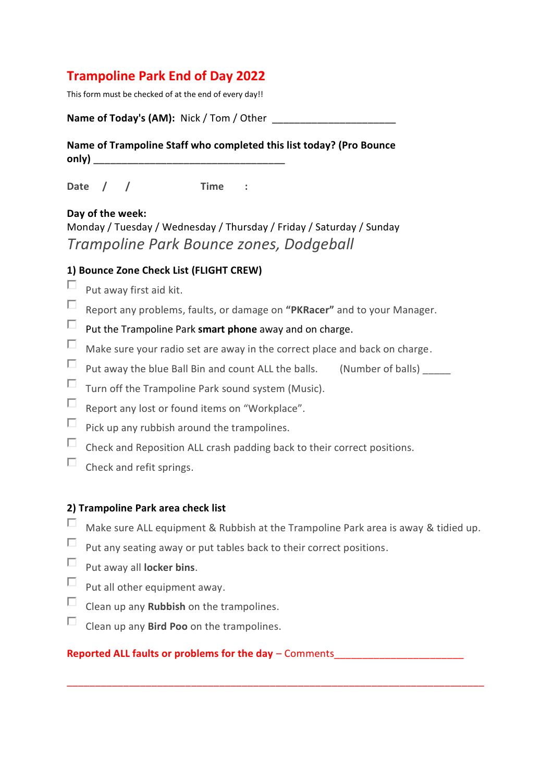# **Trampoline Park End of Day 2022**

This form must be checked of at the end of every day!!

**Name of Today's (AM):** Nick / Tom / Other

**Name of Trampoline Staff who completed this list today? (Pro Bounce only) \_\_\_\_\_\_\_\_\_\_\_\_\_\_\_\_\_\_\_\_\_\_\_\_\_\_\_\_\_\_\_\_\_\_**

**Date / / Time :**

### **Day of the week:**

Monday / Tuesday / Wednesday / Thursday / Friday / Saturday / Sunday *Trampoline Park Bounce zones, Dodgeball*

### **1) Bounce Zone Check List (FLIGHT CREW)**

- П Put away first aid kit.
- $\Box$ Report any problems, faults, or damage on **"PKRacer"** and to your Manager.
- $\Box$ Put the Trampoline Park **smart phone** away and on charge.
- $\Box$ Make sure your radio set are away in the correct place and back on charge.
- $\Box$ Put away the blue Ball Bin and count ALL the balls. (Number of balls)
- $\Box$ Turn off the Trampoline Park sound system (Music).
- $\Box$ Report any lost or found items on "Workplace".
- $\Box$ Pick up any rubbish around the trampolines.
- $\Box$ Check and Reposition ALL crash padding back to their correct positions.
- $\Box$ Check and refit springs.

#### **2) Trampoline Park area check list**

П Make sure ALL equipment & Rubbish at the Trampoline Park area is away & tidied up.

\_\_\_\_\_\_\_\_\_\_\_\_\_\_\_\_\_\_\_\_\_\_\_\_\_\_\_\_\_\_\_\_\_\_\_\_\_\_\_\_\_\_\_\_\_\_\_\_\_\_\_\_\_\_\_\_\_\_\_\_\_\_\_\_\_\_\_\_\_\_\_\_\_\_

- $\Box$ Put any seating away or put tables back to their correct positions.
- $\Box$ Put away all **locker bins**.
- $\Box$ Put all other equipment away.
- $\Box$ Clean up any **Rubbish** on the trampolines.
- П. Clean up any **Bird Poo** on the trampolines.

#### **Reported ALL faults or problems for the day – Comments**